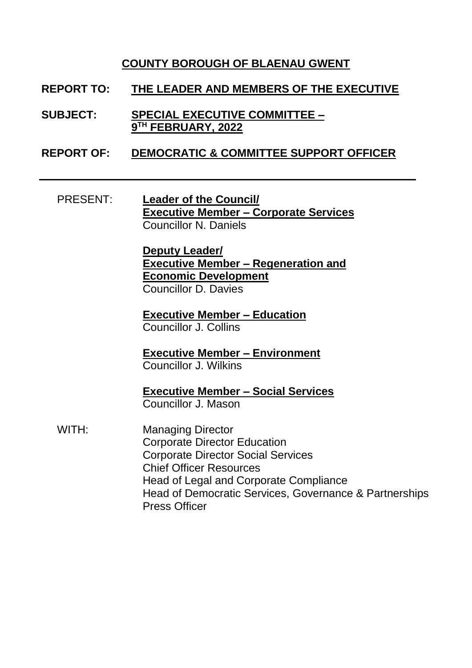## **COUNTY BOROUGH OF BLAENAU GWENT**

- **REPORT TO: THE LEADER AND MEMBERS OF THE EXECUTIVE**
- **SUBJECT: SPECIAL EXECUTIVE COMMITTEE – 9 TH FEBRUARY, 2022**
- **REPORT OF: DEMOCRATIC & COMMITTEE SUPPORT OFFICER**
	- PRESENT: **Leader of the Council/ Executive Member – Corporate Services** Councillor N. Daniels

**Deputy Leader/ Executive Member – Regeneration and Economic Development** Councillor D. Davies

**Executive Member – Education** Councillor J. Collins

**Executive Member – Environment** Councillor J. Wilkins

**Executive Member – Social Services** Councillor J. Mason

WITH: Managing Director Corporate Director Education Corporate Director Social Services Chief Officer Resources Head of Legal and Corporate Compliance Head of Democratic Services, Governance & Partnerships Press Officer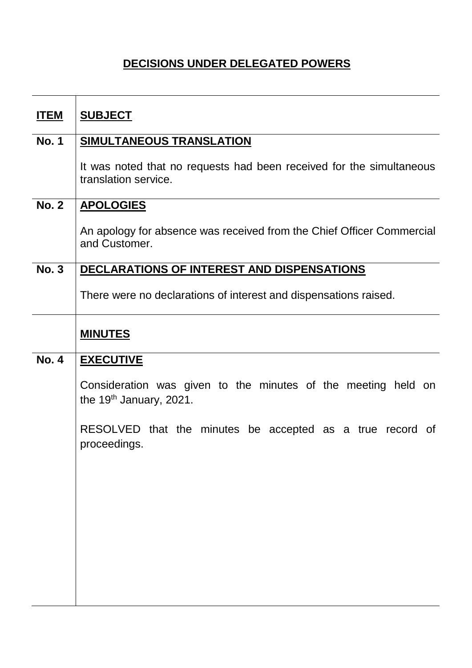## **DECISIONS UNDER DELEGATED POWERS**

| <u>ITEM</u>  | <b>SUBJECT</b>                                                                               |
|--------------|----------------------------------------------------------------------------------------------|
| <b>No. 1</b> | <b>SIMULTANEOUS TRANSLATION</b>                                                              |
|              | It was noted that no requests had been received for the simultaneous<br>translation service. |
| <b>No. 2</b> | <b>APOLOGIES</b>                                                                             |
|              | An apology for absence was received from the Chief Officer Commercial<br>and Customer.       |
| <b>No. 3</b> | DECLARATIONS OF INTEREST AND DISPENSATIONS                                                   |
|              | There were no declarations of interest and dispensations raised.                             |
|              | <b>MINUTES</b>                                                                               |
| <b>No. 4</b> | <b>EXECUTIVE</b>                                                                             |
|              | Consideration was given to the minutes of the meeting held on<br>the $19th$ January, 2021.   |
|              | RESOLVED that the minutes be accepted as a true record of<br>proceedings.                    |
|              |                                                                                              |
|              |                                                                                              |
|              |                                                                                              |
|              |                                                                                              |
|              |                                                                                              |
|              |                                                                                              |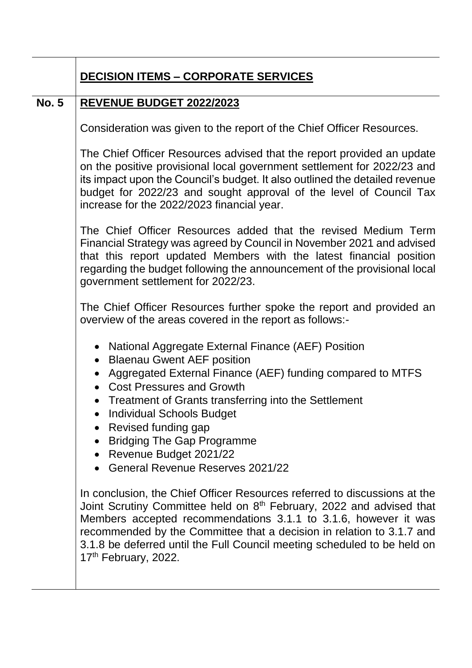|              | <b>DECISION ITEMS - CORPORATE SERVICES</b>                                                                                                                                                                                                                                                                                                                                                                                                                                                                                                                                                                                                                                                                                                                                                                                                                     |
|--------------|----------------------------------------------------------------------------------------------------------------------------------------------------------------------------------------------------------------------------------------------------------------------------------------------------------------------------------------------------------------------------------------------------------------------------------------------------------------------------------------------------------------------------------------------------------------------------------------------------------------------------------------------------------------------------------------------------------------------------------------------------------------------------------------------------------------------------------------------------------------|
| <b>No. 5</b> | <b>REVENUE BUDGET 2022/2023</b>                                                                                                                                                                                                                                                                                                                                                                                                                                                                                                                                                                                                                                                                                                                                                                                                                                |
|              | Consideration was given to the report of the Chief Officer Resources.                                                                                                                                                                                                                                                                                                                                                                                                                                                                                                                                                                                                                                                                                                                                                                                          |
|              | The Chief Officer Resources advised that the report provided an update<br>on the positive provisional local government settlement for 2022/23 and<br>its impact upon the Council's budget. It also outlined the detailed revenue<br>budget for 2022/23 and sought approval of the level of Council Tax<br>increase for the 2022/2023 financial year.                                                                                                                                                                                                                                                                                                                                                                                                                                                                                                           |
|              | The Chief Officer Resources added that the revised Medium Term<br>Financial Strategy was agreed by Council in November 2021 and advised<br>that this report updated Members with the latest financial position<br>regarding the budget following the announcement of the provisional local<br>government settlement for 2022/23.                                                                                                                                                                                                                                                                                                                                                                                                                                                                                                                               |
|              | The Chief Officer Resources further spoke the report and provided an<br>overview of the areas covered in the report as follows:-                                                                                                                                                                                                                                                                                                                                                                                                                                                                                                                                                                                                                                                                                                                               |
|              | <b>National Aggregate External Finance (AEF) Position</b><br>• Blaenau Gwent AEF position<br>Aggregated External Finance (AEF) funding compared to MTFS<br>• Cost Pressures and Growth<br>Treatment of Grants transferring into the Settlement<br>$\bullet$<br><b>Individual Schools Budget</b><br>Revised funding gap<br><b>Bridging The Gap Programme</b><br>Revenue Budget 2021/22<br>$\bullet$<br><b>General Revenue Reserves 2021/22</b><br>In conclusion, the Chief Officer Resources referred to discussions at the<br>Joint Scrutiny Committee held on 8 <sup>th</sup> February, 2022 and advised that<br>Members accepted recommendations 3.1.1 to 3.1.6, however it was<br>recommended by the Committee that a decision in relation to 3.1.7 and<br>3.1.8 be deferred until the Full Council meeting scheduled to be held on<br>17th February, 2022. |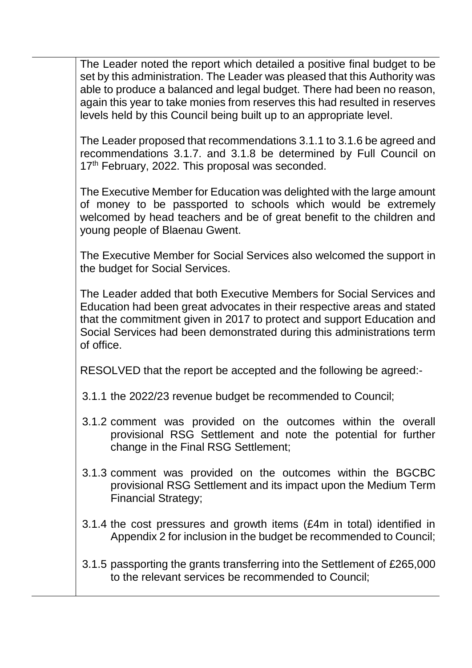The Leader noted the report which detailed a positive final budget to be set by this administration. The Leader was pleased that this Authority was able to produce a balanced and legal budget. There had been no reason, again this year to take monies from reserves this had resulted in reserves levels held by this Council being built up to an appropriate level.

The Leader proposed that recommendations 3.1.1 to 3.1.6 be agreed and recommendations 3.1.7. and 3.1.8 be determined by Full Council on 17<sup>th</sup> February, 2022. This proposal was seconded.

The Executive Member for Education was delighted with the large amount of money to be passported to schools which would be extremely welcomed by head teachers and be of great benefit to the children and young people of Blaenau Gwent.

The Executive Member for Social Services also welcomed the support in the budget for Social Services.

The Leader added that both Executive Members for Social Services and Education had been great advocates in their respective areas and stated that the commitment given in 2017 to protect and support Education and Social Services had been demonstrated during this administrations term of office.

RESOLVED that the report be accepted and the following be agreed:-

- 3.1.1 the 2022/23 revenue budget be recommended to Council;
- 3.1.2 comment was provided on the outcomes within the overall provisional RSG Settlement and note the potential for further change in the Final RSG Settlement;
- 3.1.3 comment was provided on the outcomes within the BGCBC provisional RSG Settlement and its impact upon the Medium Term Financial Strategy;
- 3.1.4 the cost pressures and growth items (£4m in total) identified in Appendix 2 for inclusion in the budget be recommended to Council;
- 3.1.5 passporting the grants transferring into the Settlement of £265,000 to the relevant services be recommended to Council;